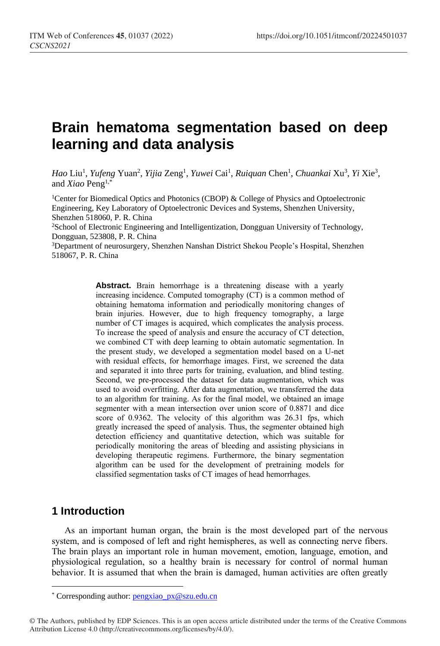# **Brain hematoma segmentation based on deep learning and data analysis**

*Hao* Liu<sup>1</sup>, *Yufeng* Yuan<sup>2</sup>, *Yijia* Zeng<sup>1</sup>, *Yuwei* Cai<sup>1</sup>, *Ruiquan* Chen<sup>1</sup>, *Chuankai* Xu<sup>3</sup>, *Yi* Xie<sup>3</sup>, and *Xiao* Peng1,\*

<sup>1</sup>Center for Biomedical Optics and Photonics (CBOP) & College of Physics and Optoelectronic Engineering, Key Laboratory of Optoelectronic Devices and Systems, Shenzhen University, Shenzhen 518060, P. R. China

<sup>2</sup>School of Electronic Engineering and Intelligentization, Dongguan University of Technology, Dongguan, 523808, P. R. China

<sup>3</sup>Department of neurosurgery, Shenzhen Nanshan District Shekou People's Hospital, Shenzhen 518067, P. R. China

> **Abstract.** Brain hemorrhage is a threatening disease with a yearly increasing incidence. Computed tomography (CT) is a common method of obtaining hematoma information and periodically monitoring changes of brain injuries. However, due to high frequency tomography, a large number of CT images is acquired, which complicates the analysis process. To increase the speed of analysis and ensure the accuracy of CT detection, we combined CT with deep learning to obtain automatic segmentation. In the present study, we developed a segmentation model based on a U-net with residual effects, for hemorrhage images. First, we screened the data and separated it into three parts for training, evaluation, and blind testing. Second, we pre-processed the dataset for data augmentation, which was used to avoid overfitting. After data augmentation, we transferred the data to an algorithm for training. As for the final model, we obtained an image segmenter with a mean intersection over union score of 0.8871 and dice score of 0.9362. The velocity of this algorithm was 26.31 fps, which greatly increased the speed of analysis. Thus, the segmenter obtained high detection efficiency and quantitative detection, which was suitable for periodically monitoring the areas of bleeding and assisting physicians in developing therapeutic regimens. Furthermore, the binary segmentation algorithm can be used for the development of pretraining models for classified segmentation tasks of CT images of head hemorrhages.

## **1 Introduction**

 $\overline{a}$ 

As an important human organ, the brain is the most developed part of the nervous system, and is composed of left and right hemispheres, as well as connecting nerve fibers. The brain plays an important role in human movement, emotion, language, emotion, and physiological regulation, so a healthy brain is necessary for control of normal human behavior. It is assumed that when the brain is damaged, human activities are often greatly

<sup>\*</sup> Corresponding author[: pengxiao\\_px@szu.edu.cn](mailto:pengxiao_px@szu.edu.cn)

<sup>©</sup> The Authors, published by EDP Sciences. This is an open access article distributed under the terms of the Creative Commons Attribution License 4.0 (http://creativecommons.org/licenses/by/4.0/).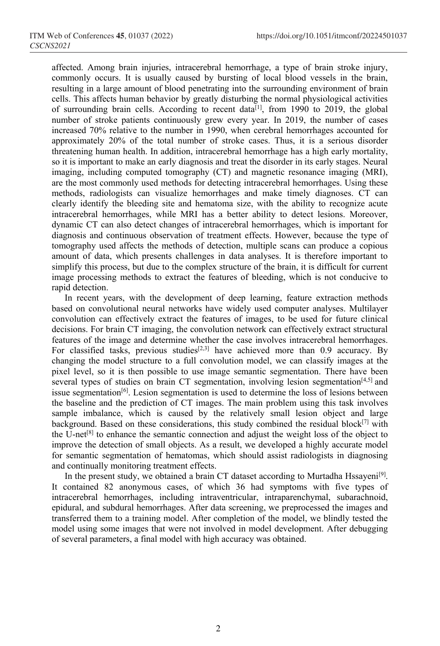affected. Among brain injuries, intracerebral hemorrhage, a type of brain stroke injury, commonly occurs. It is usually caused by bursting of local blood vessels in the brain, resulting in a large amount of blood penetrating into the surrounding environment of brain cells. This affects human behavior by greatly disturbing the normal physiological activities of surrounding brain cells. According to recent data<sup>[1]</sup>, from 1990 to 2019, the global number of stroke patients continuously grew every year. In 2019, the number of cases increased 70% relative to the number in 1990, when cerebral hemorrhages accounted for approximately 20% of the total number of stroke cases. Thus, it is a serious disorder threatening human health. In addition, intracerebral hemorrhage has a high early mortality, so it is important to make an early diagnosis and treat the disorder in its early stages. Neural imaging, including computed tomography (CT) and magnetic resonance imaging (MRI), are the most commonly used methods for detecting intracerebral hemorrhages. Using these methods, radiologists can visualize hemorrhages and make timely diagnoses. CT can clearly identify the bleeding site and hematoma size, with the ability to recognize acute intracerebral hemorrhages, while MRI has a better ability to detect lesions. Moreover, dynamic CT can also detect changes of intracerebral hemorrhages, which is important for diagnosis and continuous observation of treatment effects. However, because the type of tomography used affects the methods of detection, multiple scans can produce a copious amount of data, which presents challenges in data analyses. It is therefore important to simplify this process, but due to the complex structure of the brain, it is difficult for current image processing methods to extract the features of bleeding, which is not conducive to rapid detection.

In recent years, with the development of deep learning, feature extraction methods based on convolutional neural networks have widely used computer analyses. Multilayer convolution can effectively extract the features of images, to be used for future clinical decisions. For brain CT imaging, the convolution network can effectively extract structural features of the image and determine whether the case involves intracerebral hemorrhages. For classified tasks, previous studies<sup>[2,3]</sup> have achieved more than 0.9 accuracy. By changing the model structure to a full convolution model, we can classify images at the pixel level, so it is then possible to use image semantic segmentation. There have been several types of studies on brain CT segmentation, involving lesion segmentation $[4,5]$  and issue segmentation<sup>[6]</sup>. Lesion segmentation is used to determine the loss of lesions between the baseline and the prediction of CT images. The main problem using this task involves sample imbalance, which is caused by the relatively small lesion object and large background. Based on these considerations, this study combined the residual block $[7]$  with the U-net[8] to enhance the semantic connection and adjust the weight loss of the object to improve the detection of small objects. As a result, we developed a highly accurate model for semantic segmentation of hematomas, which should assist radiologists in diagnosing and continually monitoring treatment effects.

In the present study, we obtained a brain CT dataset according to Murtadha Hssayeni<sup>[9]</sup>. It contained 82 anonymous cases, of which 36 had symptoms with five types of intracerebral hemorrhages, including intraventricular, intraparenchymal, subarachnoid, epidural, and subdural hemorrhages. After data screening, we preprocessed the images and transferred them to a training model. After completion of the model, we blindly tested the model using some images that were not involved in model development. After debugging of several parameters, a final model with high accuracy was obtained.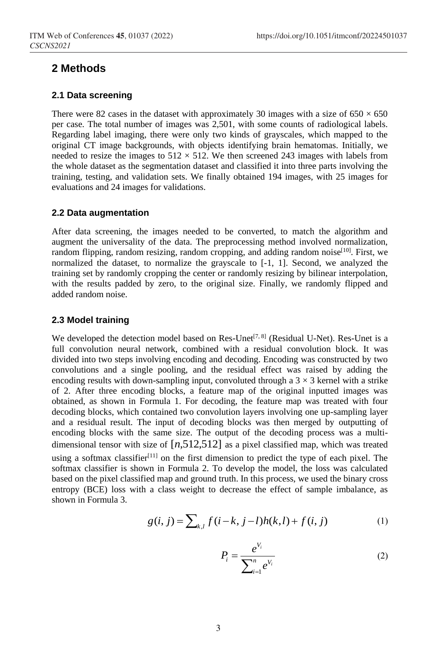## **2 Methods**

#### **2.1 Data screening**

There were 82 cases in the dataset with approximately 30 images with a size of  $650 \times 650$ per case. The total number of images was 2,501, with some counts of radiological labels. Regarding label imaging, there were only two kinds of grayscales, which mapped to the original CT image backgrounds, with objects identifying brain hematomas. Initially, we needed to resize the images to  $512 \times 512$ . We then screened 243 images with labels from the whole dataset as the segmentation dataset and classified it into three parts involving the training, testing, and validation sets. We finally obtained 194 images, with 25 images for evaluations and 24 images for validations.

## **2.2 Data augmentation**

After data screening, the images needed to be converted, to match the algorithm and augment the universality of the data. The preprocessing method involved normalization, random flipping, random resizing, random cropping, and adding random noise<sup>[10]</sup>. First, we normalized the dataset, to normalize the grayscale to [-1, 1]. Second, we analyzed the training set by randomly cropping the center or randomly resizing by bilinear interpolation, with the results padded by zero, to the original size. Finally, we randomly flipped and added random noise.

#### **2.3 Model training**

We developed the detection model based on Res-Unet<sup> $[7, 8]$ </sup> (Residual U-Net). Res-Unet is a full convolution neural network, combined with a residual convolution block. It was divided into two steps involving encoding and decoding. Encoding was constructed by two convolutions and a single pooling, and the residual effect was raised by adding the encoding results with down-sampling input, convoluted through a  $3 \times 3$  kernel with a strike of 2. After three encoding blocks, a feature map of the original inputted images was obtained, as shown in Formula 1. For decoding, the feature map was treated with four decoding blocks, which contained two convolution layers involving one up-sampling layer and a residual result. The input of decoding blocks was then merged by outputting of encoding blocks with the same size. The output of the decoding process was a multidimensional tensor with size of [*n*,512,512] as a pixel classified map, which was treated using a softmax classifier<sup>[11]</sup> on the first dimension to predict the type of each pixel. The softmax classifier is shown in Formula 2. To develop the model, the loss was calculated based on the pixel classified map and ground truth. In this process, we used the binary cross entropy (BCE) loss with a class weight to decrease the effect of sample imbalance, as shown in Formula 3.

$$
g(i, j) = \sum_{k,l} f(i - k, j - l)h(k, l) + f(i, j)
$$
 (1)

$$
P_i = \frac{e^{V_i}}{\sum_{i=1}^n e^{V_i}}
$$
 (2)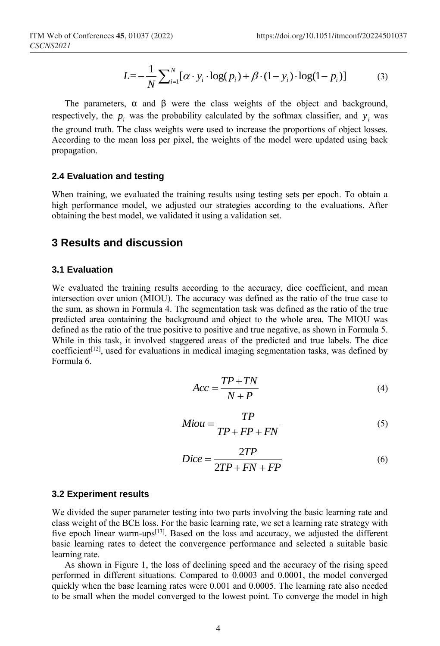$$
L = -\frac{1}{N} \sum_{i=1}^{N} [\alpha \cdot y_i \cdot \log(p_i) + \beta \cdot (1 - y_i) \cdot \log(1 - p_i)] \tag{3}
$$

The parameters,  $\alpha$  and  $\beta$  were the class weights of the object and background, respectively, the  $p_i$  was the probability calculated by the softmax classifier, and  $y_i$  was

the ground truth. The class weights were used to increase the proportions of object losses. According to the mean loss per pixel, the weights of the model were updated using back propagation.

## **2.4 Evaluation and testing**

When training, we evaluated the training results using testing sets per epoch. To obtain a high performance model, we adjusted our strategies according to the evaluations. After obtaining the best model, we validated it using a validation set.

## **3 Results and discussion**

#### **3.1 Evaluation**

We evaluated the training results according to the accuracy, dice coefficient, and mean intersection over union (MIOU). The accuracy was defined as the ratio of the true case to the sum, as shown in Formula 4. The segmentation task was defined as the ratio of the true predicted area containing the background and object to the whole area. The MIOU was defined as the ratio of the true positive to positive and true negative, as shown in Formula 5. While in this task, it involved staggered areas of the predicted and true labels. The dice coefficient $[12]$ , used for evaluations in medical imaging segmentation tasks, was defined by Formula 6.

$$
Acc = \frac{TP + TN}{N + P} \tag{4}
$$

$$
Miou = \frac{TP}{TP + FP + FN}
$$
 (5)

$$
Dice = \frac{2TP}{2TP + FN + FP}
$$
 (6)

#### **3.2 Experiment results**

We divided the super parameter testing into two parts involving the basic learning rate and class weight of the BCE loss. For the basic learning rate, we set a learning rate strategy with five epoch linear warm-ups[13]. Based on the loss and accuracy, we adjusted the different basic learning rates to detect the convergence performance and selected a suitable basic learning rate.

As shown in Figure 1, the loss of declining speed and the accuracy of the rising speed performed in different situations. Compared to 0.0003 and 0.0001, the model converged quickly when the base learning rates were 0.001 and 0.0005. The learning rate also needed to be small when the model converged to the lowest point. To converge the model in high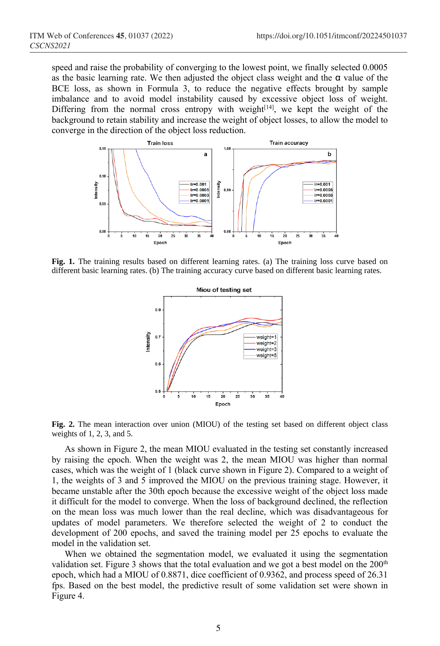speed and raise the probability of converging to the lowest point, we finally selected 0.0005 as the basic learning rate. We then adjusted the object class weight and the  $\alpha$  value of the BCE loss, as shown in Formula 3, to reduce the negative effects brought by sample imbalance and to avoid model instability caused by excessive object loss of weight. Differing from the normal cross entropy with weight $[14]$ , we kept the weight of the background to retain stability and increase the weight of object losses, to allow the model to converge in the direction of the object loss reduction.



**Fig. 1.** The training results based on different learning rates. (a) The training loss curve based on different basic learning rates. (b) The training accuracy curve based on different basic learning rates.



**Fig. 2.** The mean interaction over union (MIOU) of the testing set based on different object class weights of 1, 2, 3, and 5.

As shown in Figure 2, the mean MIOU evaluated in the testing set constantly increased by raising the epoch. When the weight was 2, the mean MIOU was higher than normal cases, which was the weight of 1 (black curve shown in Figure 2). Compared to a weight of 1, the weights of 3 and 5 improved the MIOU on the previous training stage. However, it became unstable after the 30th epoch because the excessive weight of the object loss made it difficult for the model to converge. When the loss of background declined, the reflection on the mean loss was much lower than the real decline, which was disadvantageous for updates of model parameters. We therefore selected the weight of 2 to conduct the development of 200 epochs, and saved the training model per 25 epochs to evaluate the model in the validation set.

When we obtained the segmentation model, we evaluated it using the segmentation validation set. Figure 3 shows that the total evaluation and we got a best model on the  $200<sup>th</sup>$ epoch, which had a MIOU of 0.8871, dice coefficient of 0.9362, and process speed of 26.31 fps. Based on the best model, the predictive result of some validation set were shown in Figure 4.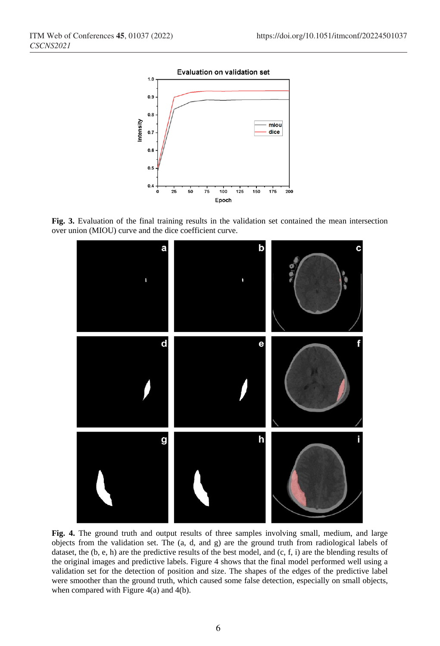

**Fig. 3.** Evaluation of the final training results in the validation set contained the mean intersection over union (MIOU) curve and the dice coefficient curve.



**Fig. 4.** The ground truth and output results of three samples involving small, medium, and large objects from the validation set. The (a, d, and g) are the ground truth from radiological labels of dataset, the (b, e, h) are the predictive results of the best model, and (c, f, i) are the blending results of the original images and predictive labels. Figure 4 shows that the final model performed well using a validation set for the detection of position and size. The shapes of the edges of the predictive label were smoother than the ground truth, which caused some false detection, especially on small objects, when compared with Figure  $4(a)$  and  $4(b)$ .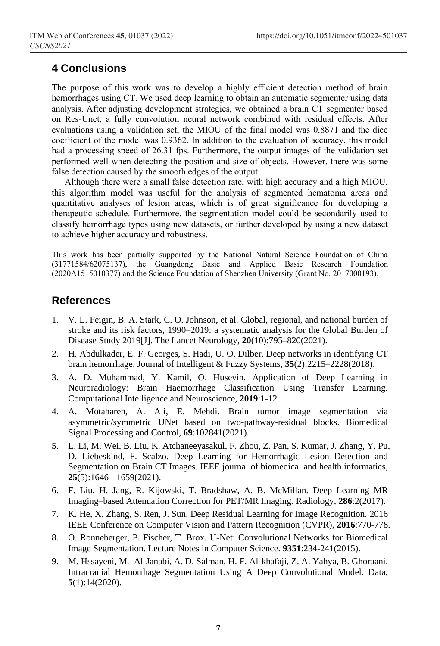# **4 Conclusions**

The purpose of this work was to develop a highly efficient detection method of brain hemorrhages using CT. We used deep learning to obtain an automatic segmenter using data analysis. After adjusting development strategies, we obtained a brain CT segmenter based on Res-Unet, a fully convolution neural network combined with residual effects. After evaluations using a validation set, the MIOU of the final model was 0.8871 and the dice coefficient of the model was 0.9362. In addition to the evaluation of accuracy, this model had a processing speed of 26.31 fps. Furthermore, the output images of the validation set performed well when detecting the position and size of objects. However, there was some false detection caused by the smooth edges of the output.

Although there were a small false detection rate, with high accuracy and a high MIOU, this algorithm model was useful for the analysis of segmented hematoma areas and quantitative analyses of lesion areas, which is of great significance for developing a therapeutic schedule. Furthermore, the segmentation model could be secondarily used to classify hemorrhage types using new datasets, or further developed by using a new dataset to achieve higher accuracy and robustness.

This work has been partially supported by the National Natural Science Foundation of China (31771584/62075137), the Guangdong Basic and Applied Basic Research Foundation (2020A1515010377) and the Science Foundation of Shenzhen University (Grant No. 2017000193).

# **References**

- 1. V. L. Feigin, B. A. Stark, C. O. Johnson, et al. Global, regional, and national burden of stroke and its risk factors, 1990–2019: a systematic analysis for the Global Burden of Disease Study 2019[J]. The Lancet Neurology, **20**(10):795–820(2021).
- 2. H. Abdulkader, E. F. Georges, S. Hadi, U. O. Dilber. Deep networks in identifying CT brain hemorrhage. Journal of Intelligent & Fuzzy Systems, **35**(2):2215–2228(2018).
- 3. A. D. Muhammad, Y. Kamil, O. Huseyin. Application of Deep Learning in Neuroradiology: Brain Haemorrhage Classification Using Transfer Learning. Computational Intelligence and Neuroscience, **2019**:1-12.
- 4. A. Motahareh, A. Ali, E. Mehdi. Brain tumor image segmentation via asymmetric/symmetric UNet based on two-pathway-residual blocks. Biomedical Signal Processing and Control, **69**:102841(2021).
- 5. L. Li, M. Wei, B. Liu, K. Atchaneeyasakul, F. Zhou, Z. Pan, S. Kumar, J. Zhang, Y. Pu, D. Liebeskind, F. Scalzo. Deep Learning for Hemorrhagic Lesion Detection and Segmentation on Brain CT Images. IEEE journal of biomedical and health informatics, **25**(5):1646 - 1659(2021).
- 6. F. Liu, H. Jang, R. Kijowski, T. Bradshaw, A. B. McMillan. Deep Learning MR Imaging–based Attenuation Correction for PET/MR Imaging. Radiology, **286**:2(2017).
- 7. K. He, X. Zhang, S. Ren, J. Sun. Deep Residual Learning for Image Recognition. [2016](https://ieeexplore.ieee.org/xpl/conhome/7776647/proceeding)  [IEEE Conference on Computer Vision and Pattern Recognition \(CVPR\),](https://ieeexplore.ieee.org/xpl/conhome/7776647/proceeding) **2016**:770-778.
- 8. O. Ronneberger, P. Fischer, T. Brox. U-Net: Convolutional Networks for Biomedical Image Segmentation. Lecture Notes in Computer Science. **9351**:234-241(2015).
- 9. M. Hssayeni, M. Al-Janabi, A. D. Salman, H. F. Al-khafaji, Z. A. Yahya, B. Ghoraani. Intracranial Hemorrhage Segmentation Using A Deep Convolutional Model. Data, **5**(1):14(2020).